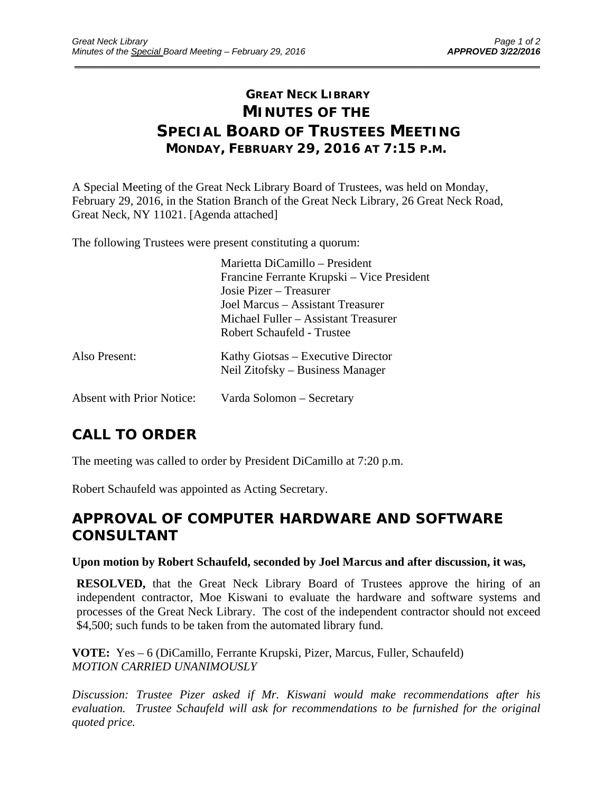## **GREAT NECK LIBRARY MINUTES OF THE SPECIAL BOARD OF TRUSTEES MEETING MONDAY, FEBRUARY 29, 2016 AT 7:15 P.M.**

\_\_\_\_\_\_\_\_\_\_\_\_\_\_\_\_\_\_\_\_\_\_\_\_\_\_\_\_\_\_\_\_\_\_\_\_\_\_\_\_\_\_\_\_\_\_\_\_\_\_\_\_\_\_\_\_\_\_\_\_\_\_\_\_\_\_\_\_\_\_\_\_\_\_\_\_\_\_\_\_\_\_\_\_\_\_\_\_\_\_\_\_\_

A Special Meeting of the Great Neck Library Board of Trustees, was held on Monday, February 29, 2016, in the Station Branch of the Great Neck Library, 26 Great Neck Road, Great Neck, NY 11021. [Agenda attached]

The following Trustees were present constituting a quorum:

|                                  | Marietta DiCamillo – President                                         |
|----------------------------------|------------------------------------------------------------------------|
|                                  | Francine Ferrante Krupski – Vice President                             |
|                                  | Josie Pizer – Treasurer                                                |
|                                  | Joel Marcus – Assistant Treasurer                                      |
|                                  | Michael Fuller – Assistant Treasurer                                   |
|                                  | Robert Schaufeld - Trustee                                             |
| Also Present:                    | Kathy Giotsas – Executive Director<br>Neil Zitofsky – Business Manager |
|                                  |                                                                        |
| <b>Absent with Prior Notice:</b> | Varda Solomon – Secretary                                              |

# **CALL TO ORDER**

The meeting was called to order by President DiCamillo at 7:20 p.m.

Robert Schaufeld was appointed as Acting Secretary.

## **APPROVAL OF COMPUTER HARDWARE AND SOFTWARE CONSULTANT**

#### **Upon motion by Robert Schaufeld, seconded by Joel Marcus and after discussion, it was,**

**RESOLVED,** that the Great Neck Library Board of Trustees approve the hiring of an independent contractor, Moe Kiswani to evaluate the hardware and software systems and processes of the Great Neck Library. The cost of the independent contractor should not exceed \$4,500; such funds to be taken from the automated library fund.

**VOTE:** Yes – 6 (DiCamillo, Ferrante Krupski, Pizer, Marcus, Fuller, Schaufeld) *MOTION CARRIED UNANIMOUSLY* 

*Discussion: Trustee Pizer asked if Mr. Kiswani would make recommendations after his evaluation. Trustee Schaufeld will ask for recommendations to be furnished for the original quoted price.*